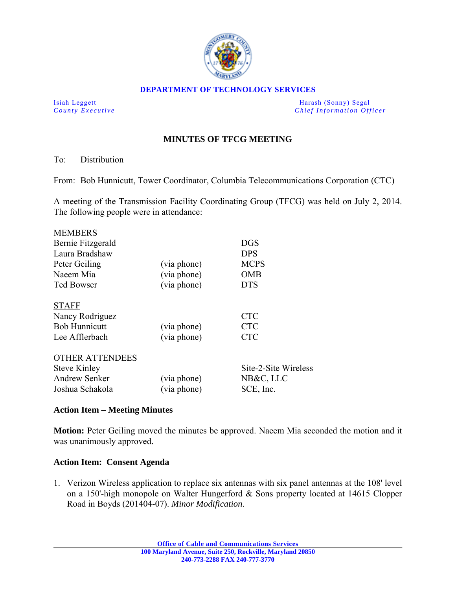

#### **DEPARTMENT OF TECHNOLOGY SERVICES**

Isiah Leggett **Harash (Sonny)** Segal *County Executive* **Countries and** *Chief Information Officer Chief Information Officer* 

# **MINUTES OF TFCG MEETING**

## To: Distribution

From: Bob Hunnicutt, Tower Coordinator, Columbia Telecommunications Corporation (CTC)

A meeting of the Transmission Facility Coordinating Group (TFCG) was held on July 2, 2014. The following people were in attendance:

| <b>MEMBERS</b>         |             |                      |
|------------------------|-------------|----------------------|
| Bernie Fitzgerald      |             | <b>DGS</b>           |
| Laura Bradshaw         |             | <b>DPS</b>           |
| Peter Geiling          | (via phone) | <b>MCPS</b>          |
| Naeem Mia              | (via phone) | <b>OMB</b>           |
| <b>Ted Bowser</b>      | (via phone) | <b>DTS</b>           |
| <b>STAFF</b>           |             |                      |
| Nancy Rodriguez        |             | <b>CTC</b>           |
| <b>Bob Hunnicutt</b>   | (via phone) | <b>CTC</b>           |
| Lee Afflerbach         | (via phone) | <b>CTC</b>           |
| <b>OTHER ATTENDEES</b> |             |                      |
| <b>Steve Kinley</b>    |             | Site-2-Site Wireless |
| <b>Andrew Senker</b>   | (via phone) | NB&C, LLC            |
| Joshua Schakola        | (via phone) | SCE, Inc.            |

## **Action Item – Meeting Minutes**

**Motion:** Peter Geiling moved the minutes be approved. Naeem Mia seconded the motion and it was unanimously approved.

#### **Action Item: Consent Agenda**

1. Verizon Wireless application to replace six antennas with six panel antennas at the 108' level on a 150'-high monopole on Walter Hungerford & Sons property located at 14615 Clopper Road in Boyds (201404-07). *Minor Modification*.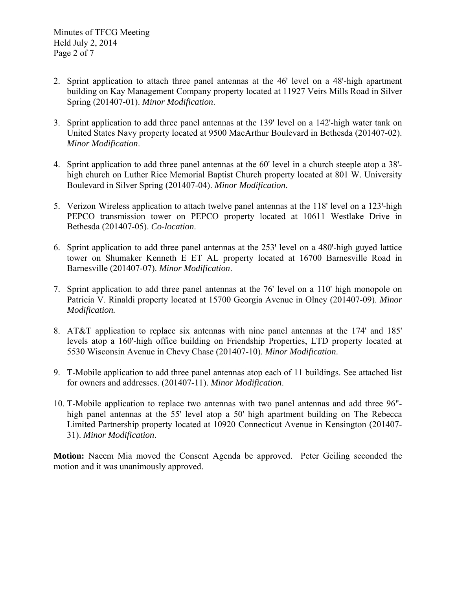- 2. Sprint application to attach three panel antennas at the 46 level on a 48-high apartment building on Kay Management Company property located at 11927 Veirs Mills Road in Silver Spring (201407-01). *Minor Modification*.
- 3. Sprint application to add three panel antennas at the 139' level on a 142'-high water tank on United States Navy property located at 9500 MacArthur Boulevard in Bethesda (201407-02). *Minor Modification*.
- 4. Sprint application to add three panel antennas at the 60' level in a church steeple atop a 38' high church on Luther Rice Memorial Baptist Church property located at 801 W. University Boulevard in Silver Spring (201407-04). *Minor Modification*.
- 5. Verizon Wireless application to attach twelve panel antennas at the 118' level on a 123'-high PEPCO transmission tower on PEPCO property located at 10611 Westlake Drive in Bethesda (201407-05). *Co-location*.
- 6. Sprint application to add three panel antennas at the  $253'$  level on a 480'-high guyed lattice tower on Shumaker Kenneth E ET AL property located at 16700 Barnesville Road in Barnesville (201407-07). *Minor Modification*.
- 7. Sprint application to add three panel antennas at the 76' level on a 110' high monopole on Patricia V. Rinaldi property located at 15700 Georgia Avenue in Olney (201407-09). *Minor Modification.*
- 8. AT&T application to replace six antennas with nine panel antennas at the 174' and 185' levels atop a 160'-high office building on Friendship Properties, LTD property located at 5530 Wisconsin Avenue in Chevy Chase (201407-10). *Minor Modification*.
- 9. T-Mobile application to add three panel antennas atop each of 11 buildings. See attached list for owners and addresses. (201407-11). *Minor Modification*.
- 10. T-Mobile application to replace two antennas with two panel antennas and add three 96" high panel antennas at the 55' level atop a 50' high apartment building on The Rebecca Limited Partnership property located at 10920 Connecticut Avenue in Kensington (201407- 31). *Minor Modification*.

**Motion:** Naeem Mia moved the Consent Agenda be approved. Peter Geiling seconded the motion and it was unanimously approved.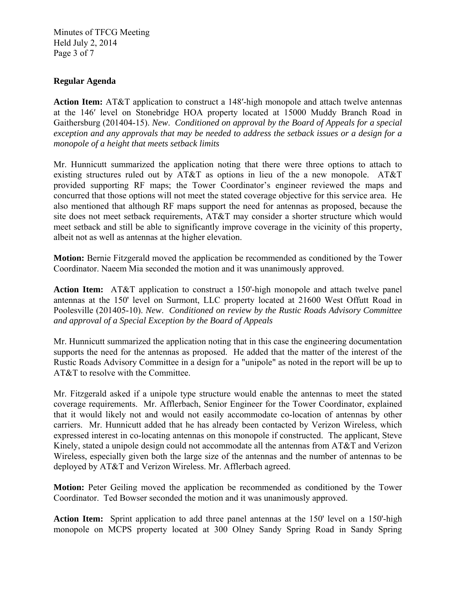Minutes of TFCG Meeting Held July 2, 2014 Page 3 of 7

## **Regular Agenda**

**Action Item:** AT&T application to construct a 148ʹ-high monopole and attach twelve antennas at the 146ʹ level on Stonebridge HOA property located at 15000 Muddy Branch Road in Gaithersburg (201404-15). *New*. *Conditioned on approval by the Board of Appeals for a special exception and any approvals that may be needed to address the setback issues or a design for a monopole of a height that meets setback limits* 

Mr. Hunnicutt summarized the application noting that there were three options to attach to existing structures ruled out by AT&T as options in lieu of the a new monopole. AT&T provided supporting RF maps; the Tower Coordinator's engineer reviewed the maps and concurred that those options will not meet the stated coverage objective for this service area. He also mentioned that although RF maps support the need for antennas as proposed, because the site does not meet setback requirements, AT&T may consider a shorter structure which would meet setback and still be able to significantly improve coverage in the vicinity of this property, albeit not as well as antennas at the higher elevation.

**Motion:** Bernie Fitzgerald moved the application be recommended as conditioned by the Tower Coordinator. Naeem Mia seconded the motion and it was unanimously approved.

**Action Item:** AT&T application to construct a 150'-high monopole and attach twelve panel antennas at the 150' level on Surmont, LLC property located at 21600 West Offutt Road in Poolesville (201405-10). *New*. *Conditioned on review by the Rustic Roads Advisory Committee and approval of a Special Exception by the Board of Appeals*

Mr. Hunnicutt summarized the application noting that in this case the engineering documentation supports the need for the antennas as proposed. He added that the matter of the interest of the Rustic Roads Advisory Committee in a design for a "unipole" as noted in the report will be up to AT&T to resolve with the Committee.

Mr. Fitzgerald asked if a unipole type structure would enable the antennas to meet the stated coverage requirements. Mr. Afflerbach, Senior Engineer for the Tower Coordinator, explained that it would likely not and would not easily accommodate co-location of antennas by other carriers. Mr. Hunnicutt added that he has already been contacted by Verizon Wireless, which expressed interest in co-locating antennas on this monopole if constructed. The applicant, Steve Kinely, stated a unipole design could not accommodate all the antennas from AT&T and Verizon Wireless, especially given both the large size of the antennas and the number of antennas to be deployed by AT&T and Verizon Wireless. Mr. Afflerbach agreed.

**Motion:** Peter Geiling moved the application be recommended as conditioned by the Tower Coordinator. Ted Bowser seconded the motion and it was unanimously approved.

**Action Item:** Sprint application to add three panel antennas at the 150' level on a 150'-high monopole on MCPS property located at 300 Olney Sandy Spring Road in Sandy Spring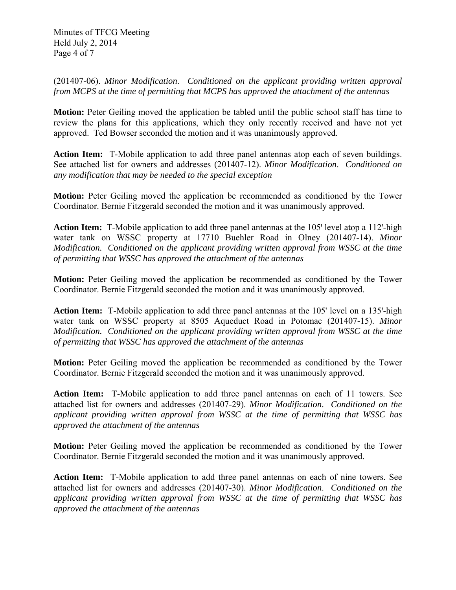Minutes of TFCG Meeting Held July 2, 2014 Page 4 of 7

(201407-06). *Minor Modification*. *Conditioned on the applicant providing written approval from MCPS at the time of permitting that MCPS has approved the attachment of the antennas*

**Motion:** Peter Geiling moved the application be tabled until the public school staff has time to review the plans for this applications, which they only recently received and have not yet approved. Ted Bowser seconded the motion and it was unanimously approved.

**Action Item:** T-Mobile application to add three panel antennas atop each of seven buildings. See attached list for owners and addresses (201407-12). *Minor Modification*. *Conditioned on any modification that may be needed to the special exception* 

**Motion:** Peter Geiling moved the application be recommended as conditioned by the Tower Coordinator. Bernie Fitzgerald seconded the motion and it was unanimously approved.

**Action Item:** T-Mobile application to add three panel antennas at the 105' level atop a 112'-high water tank on WSSC property at 17710 Buehler Road in Olney (201407-14). *Minor Modification. Conditioned on the applicant providing written approval from WSSC at the time of permitting that WSSC has approved the attachment of the antennas* 

**Motion:** Peter Geiling moved the application be recommended as conditioned by the Tower Coordinator. Bernie Fitzgerald seconded the motion and it was unanimously approved.

**Action Item:** T-Mobile application to add three panel antennas at the 105' level on a 135'-high water tank on WSSC property at 8505 Aqueduct Road in Potomac (201407-15). *Minor Modification. Conditioned on the applicant providing written approval from WSSC at the time of permitting that WSSC has approved the attachment of the antennas* 

**Motion:** Peter Geiling moved the application be recommended as conditioned by the Tower Coordinator. Bernie Fitzgerald seconded the motion and it was unanimously approved.

**Action Item:** T-Mobile application to add three panel antennas on each of 11 towers. See attached list for owners and addresses (201407-29). *Minor Modification*. *Conditioned on the applicant providing written approval from WSSC at the time of permitting that WSSC has approved the attachment of the antennas* 

**Motion:** Peter Geiling moved the application be recommended as conditioned by the Tower Coordinator. Bernie Fitzgerald seconded the motion and it was unanimously approved.

**Action Item:** T-Mobile application to add three panel antennas on each of nine towers. See attached list for owners and addresses (201407-30). *Minor Modification*. *Conditioned on the applicant providing written approval from WSSC at the time of permitting that WSSC has approved the attachment of the antennas*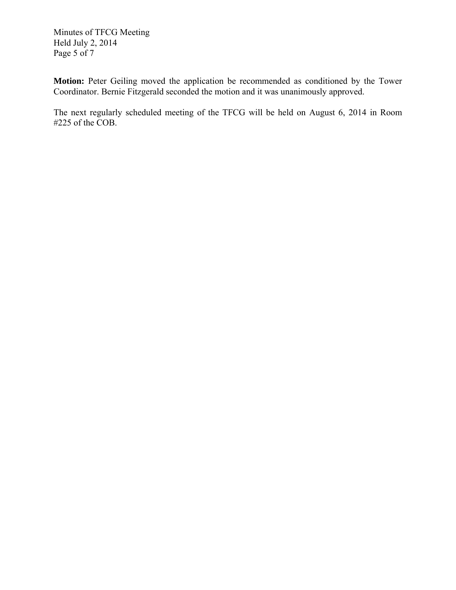Minutes of TFCG Meeting Held July 2, 2014 Page 5 of 7

**Motion:** Peter Geiling moved the application be recommended as conditioned by the Tower Coordinator. Bernie Fitzgerald seconded the motion and it was unanimously approved.

The next regularly scheduled meeting of the TFCG will be held on August 6, 2014 in Room #225 of the COB.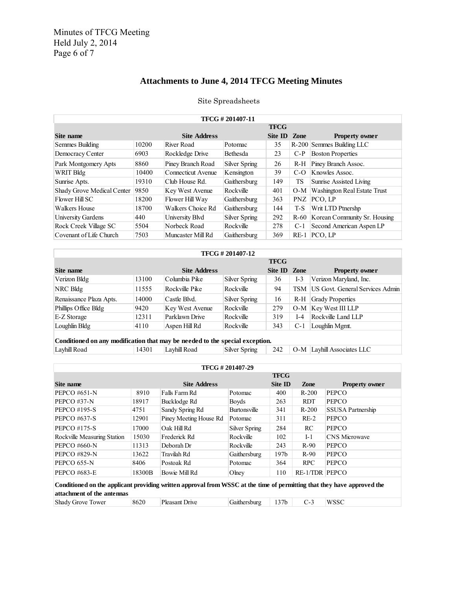# **Attachments to June 4, 2014 TFCG Meeting Minutes**

# Site Spreadsheets

| TFCG #201407-11                   |       |                     |               |         |             |                                   |  |  |
|-----------------------------------|-------|---------------------|---------------|---------|-------------|-----------------------------------|--|--|
| <b>TFCG</b>                       |       |                     |               |         |             |                                   |  |  |
| Site name                         |       | <b>Site Address</b> |               | Site ID | <b>Zone</b> | <b>Property owner</b>             |  |  |
| Semmes Building                   | 10200 | River Road          | Potomac       | 35      |             | R-200 Semmes Building LLC         |  |  |
| Democracy Center                  | 6903  | Rockledge Drive     | Bethesda      | 23      | $C-P$       | <b>Boston Properties</b>          |  |  |
| Park Montgomery Apts              | 8860  | Piney Branch Road   | Silver Spring | 26      | $R-H$       | Piney Branch Assoc.               |  |  |
| WRIT Bldg                         | 10400 | Connecticut Avenue  | Kensington    | 39      | $C-O$       | Knowles Assoc.                    |  |  |
| Sunrise Apts.                     | 19310 | Club House Rd.      | Gaithersburg  | 149     | TS          | <b>Sunrise Assisted Living</b>    |  |  |
| <b>Shady Grove Medical Center</b> | 9850  | Key West Avenue     | Rockville     | 401     | $O-M$       | Washington Real Estate Trust      |  |  |
| Flower Hill SC                    | 18200 | Flower Hill Way     | Gaithersburg  | 363     | <b>PNZ</b>  | PCO, LP                           |  |  |
| Walkers House                     | 18700 | Walkers Choice Rd   | Gaithersburg  | 144     | T-S         | Writ LTD Ptnershp                 |  |  |
| University Gardens                | 440   | University Blvd     | Silver Spring | 292     |             | R-60 Korean Community Sr. Housing |  |  |
| Rock Creek Village SC             | 5504  | Norbeck Road        | Rockville     | 278     | $C-1$       | Second American Aspen LP          |  |  |
| Covenant of Life Church           | 7503  | Muncaster Mill Rd   | Gaithersburg  | 369     | $RE-1$      | PCO. LP                           |  |  |

| TFCG #201407-12         |       |                     |               |              |       |                                     |  |  |
|-------------------------|-------|---------------------|---------------|--------------|-------|-------------------------------------|--|--|
| <b>TFCG</b>             |       |                     |               |              |       |                                     |  |  |
| Site name               |       | <b>Site Address</b> |               | Site ID Zone |       | <b>Property owner</b>               |  |  |
| Verizon Bldg            | 13100 | Columbia Pike       | Silver Spring | 36           | I-3   | Verizon Maryland, Inc.              |  |  |
| NRC Bldg                | 11555 | Rockville Pike      | Rockville     | 94           |       | TSM US Govt. General Services Admin |  |  |
| Renaissance Plaza Apts. | 14000 | Castle Blvd.        | Silver Spring | 16           | R-H   | <b>Grady Properties</b>             |  |  |
| Phillips Office Bldg    | 9420  | Key West Avenue     | Rockville     | 279          |       | O-M Key West III LLP                |  |  |
| E-Z Storage             | 12311 | Parklawn Drive      | Rockville     | 319          | $I-4$ | Rockville Land LLP                  |  |  |
| Loughlin Bldg           | 4110  | Aspen Hill Rd       | Rockville     | 343          | $C-1$ | Loughlin Mgmt.                      |  |  |

| Conditioned on any modification that may be necued to the special exception. |       |              |               |  |  |                                    |  |
|------------------------------------------------------------------------------|-------|--------------|---------------|--|--|------------------------------------|--|
| Lavhill Road                                                                 | 14301 | Lavhill Road | Silver Spring |  |  | 242   O-M   Lavhill Associates LLC |  |

| TFCG #201407-29                                                                                                                                       |        |                        |                     |                  |                       |                          |  |
|-------------------------------------------------------------------------------------------------------------------------------------------------------|--------|------------------------|---------------------|------------------|-----------------------|--------------------------|--|
| <b>TFCG</b>                                                                                                                                           |        |                        |                     |                  |                       |                          |  |
| Site name                                                                                                                                             |        | <b>Site Address</b>    |                     | Site ID          | <b>Zone</b>           | <b>Property owner</b>    |  |
| <b>PEPCO #651-N</b>                                                                                                                                   | 8910   | Falls Farm Rd          | Potomac             | 400              | $R-200$               | PEPCO                    |  |
| PEPCO #37-N                                                                                                                                           | 18917  | Bucklodge Rd           | <b>Boyds</b>        | 263              | <b>RDT</b>            | <b>PEPCO</b>             |  |
| PEPCO #195-S                                                                                                                                          | 4751   | Sandy Spring Rd        | <b>Burtonsville</b> | 341              | $R-200$               | <b>SSUSA Partnership</b> |  |
| <b>PEPCO #637-S</b>                                                                                                                                   | 12901  | Piney Meeting House Rd | Potomac             | 311              | $RE-2$                | <b>PEPCO</b>             |  |
| <b>PEPCO #175-S</b>                                                                                                                                   | 17000  | Oak Hill Rd            | Silver Spring       | 284              | <b>RC</b>             | <b>PEPCO</b>             |  |
| Rockville Measuring Station                                                                                                                           | 15030  | Frederick Rd           | Rockville           | 102              | $I-1$                 | <b>CNS</b> Microwave     |  |
| <b>PEPCO #660-N</b>                                                                                                                                   | 11313  | Deborah Dr             | Rockville           | 243              | $R-90$                | <b>PEPCO</b>             |  |
| <b>PEPCO #829-N</b>                                                                                                                                   | 13622  | Travilah Rd            | Gaithersburg        | 197 <sub>b</sub> | $R-90$                | <b>PEPCO</b>             |  |
| PEPCO 655-N                                                                                                                                           | 8406   | Postoak Rd             | Potomac             | 364              | <b>RPC</b>            | <b>PEPCO</b>             |  |
| <b>PEPCO #683-E</b>                                                                                                                                   | 18300B | Bowie Mill Rd          | Ohey                | 110              | <b>RE-1/TDR PEPCO</b> |                          |  |
| Conditioned on the applicant providing written approval from WSSC at the time of permitting that they have approved the<br>attachment of the antennas |        |                        |                     |                  |                       |                          |  |
| <b>WSSC</b><br>137 <sub>b</sub><br>$C-3$<br>8620<br><b>Pleasant Drive</b><br>Gaithersburg<br><b>Shady Grove Tower</b>                                 |        |                        |                     |                  |                       |                          |  |